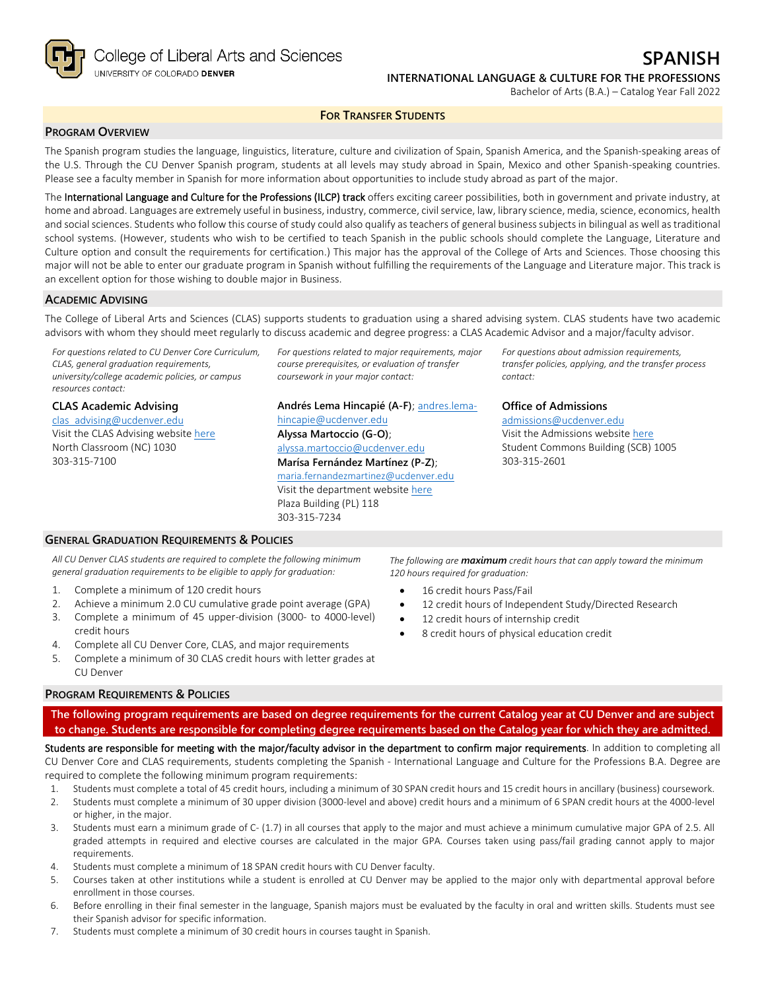

**FOR TRANSFER STUDENTS**

# **PROGRAM OVERVIEW**

The Spanish program studies the language, linguistics, literature, culture and civilization of Spain, Spanish America, and the Spanish-speaking areas of the U.S. Through the CU Denver Spanish program, students at all levels may study abroad in Spain, Mexico and other Spanish-speaking countries. Please see a faculty member in Spanish for more information about opportunities to include study abroad as part of the major.

The International Language and Culture for the Professions (ILCP) track offers exciting career possibilities, both in government and private industry, at home and abroad. Languages are extremely useful in business, industry, commerce, civil service, law, library science, media, science, economics, health and social sciences. Students who follow this course of study could also qualify as teachers of general business subjects in bilingual as well as traditional school systems. (However, students who wish to be certified to teach Spanish in the public schools should complete the Language, Literature and Culture option and consult the requirements for certification.) This major has the approval of the College of Arts and Sciences. Those choosing this major will not be able to enter our graduate program in Spanish without fulfilling the requirements of the Language and Literature major. This track is an excellent option for those wishing to double major in Business.

### **ACADEMIC ADVISING**

The College of Liberal Arts and Sciences (CLAS) supports students to graduation using a shared advising system. CLAS students have two academic advisors with whom they should meet regularly to discuss academic and degree progress: a CLAS Academic Advisor and a major/faculty advisor.

*For questions related to CU Denver Core Curriculum, CLAS, general graduation requirements, university/college academic policies, or campus resources contact:*

**CLAS Academic Advising** [clas\\_advising@ucdenver.edu](mailto:clas_advising@ucdenver.edu) Visit the CLAS Advising websit[e here](https://clas.ucdenver.edu/advising/) North Classroom (NC) 1030 303-315-7100

*For questions related to major requirements, major course prerequisites, or evaluation of transfer coursework in your major contact:*

**Andrés Lema Hincapié (A-F)**; [andres.lema](mailto:andres.lema-hincapie@ucdenver.edu)[hincapie@ucdenver.edu](mailto:andres.lema-hincapie@ucdenver.edu) **Alyssa Martoccio (G-O)**; [alyssa.martoccio@ucdenver.edu](mailto:alyssa.martoccio@ucdenver.edu) **Marísa Fernández Martínez (P-Z)**; [maria.fernandezmartinez@ucdenver.ed](mailto:maria.fernandezmartinez@ucdenver.edu)[u](mailto:maria.fernandezmartinez@ucdenver.edu) Visit the department website [here](https://clas.ucdenver.edu/modLang/) Plaza Building (PL) 118 303-315-7234

*For questions about admission requirements, transfer policies, applying, and the transfer process contact:*

**Office of Admissions** [admissions@ucdenver.edu](mailto:admissions@ucdenver.edu)

Visit the Admissions website [here](http://www.ucdenver.edu/admissions/Pages/index.aspx) Student Commons Building (SCB) 1005 303-315-2601

# **GENERAL GRADUATION REQUIREMENTS & POLICIES**

*All CU Denver CLAS students are required to complete the following minimum general graduation requirements to be eligible to apply for graduation:*

- 1. Complete a minimum of 120 credit hours
- 2. Achieve a minimum 2.0 CU cumulative grade point average (GPA)
- 3. Complete a minimum of 45 upper-division (3000- to 4000-level) credit hours
- 4. Complete all CU Denver Core, CLAS, and major requirements
- 5. Complete a minimum of 30 CLAS credit hours with letter grades at CU Denver

#### **PROGRAM REQUIREMENTS & POLICIES**

**The following program requirements are based on degree requirements for the current Catalog year at CU Denver and are subject to change. Students are responsible for completing degree requirements based on the Catalog year for which they are admitted.**

Students are responsible for meeting with the major/faculty advisor in the department to confirm major requirements. In addition to completing all CU Denver Core and CLAS requirements, students completing the Spanish - International Language and Culture for the Professions B.A. Degree are required to complete the following minimum program requirements:

- 1. Students must complete a total of 45 credit hours, including a minimum of 30 SPAN credit hours and 15 credit hours in ancillary (business) coursework.
- 2. Students must complete a minimum of 30 upper division (3000-level and above) credit hours and a minimum of 6 SPAN credit hours at the 4000-level or higher, in the major.
- 3. Students must earn a minimum grade of C- (1.7) in all courses that apply to the major and must achieve a minimum cumulative major GPA of 2.5. All graded attempts in required and elective courses are calculated in the major GPA. Courses taken using pass/fail grading cannot apply to major requirements.
- 4. Students must complete a minimum of 18 SPAN credit hours with CU Denver faculty.
- 5. Courses taken at other institutions while a student is enrolled at CU Denver may be applied to the major only with departmental approval before enrollment in those courses.
- 6. Before enrolling in their final semester in the language, Spanish majors must be evaluated by the faculty in oral and written skills. Students must see their Spanish advisor for specific information.
- 7. Students must complete a minimum of 30 credit hours in courses taught in Spanish.

*The following are maximum credit hours that can apply toward the minimum 120 hours required for graduation:*

- 16 credit hours Pass/Fail
- 12 credit hours of Independent Study/Directed Research
- 12 credit hours of internship credit
- 8 credit hours of physical education credit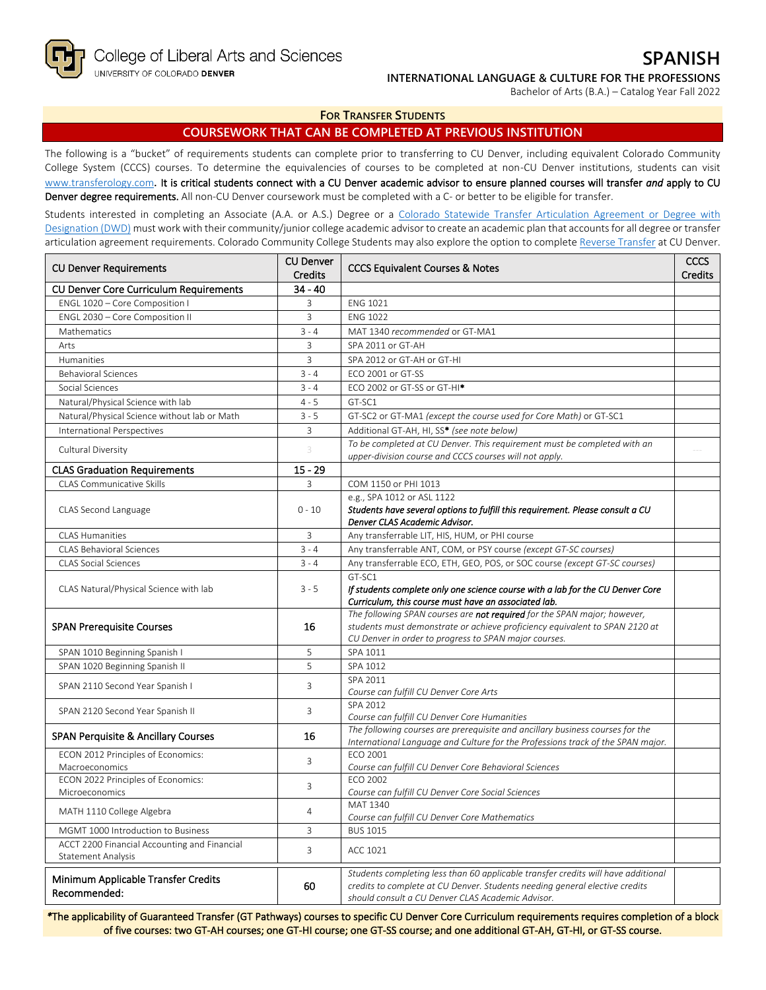College of Liberal Arts and Sciences UNIVERSITY OF COLORADO DENVER

Bachelor of Arts (B.A.) – Catalog Year Fall 2022

#### **FOR TRANSFER STUDENTS**

## **COURSEWORK THAT CAN BE COMPLETED AT PREVIOUS INSTITUTION**

The following is a "bucket" of requirements students can complete prior to transferring to CU Denver, including equivalent Colorado Community College System (CCCS) courses. To determine the equivalencies of courses to be completed at non-CU Denver institutions, students can visit [www.transferology.com](http://www.transferology.com/)**.** It is critical students connect with a CU Denver academic advisor to ensure planned courses will transfer *and* apply to CU Denver degree requirements. All non-CU Denver coursework must be completed with a C- or better to be eligible for transfer.

Students interested in completing an Associate (A.A. or A.S.) Degree or a [Colorado Statewide Transfer Articulation Agreement or Degree with](https://highered.colorado.gov/transfer-degrees)  [Designation \(DWD\)](https://highered.colorado.gov/transfer-degrees) must work with their community/junior college academic advisor to create an academic plan that accounts for all degree or transfer articulation agreement requirements. Colorado Community College Students may also explore the option to complet[e Reverse Transfer](https://highered.colorado.gov/students/attending-college/colorado-reverse-transfer) at CU Denver.

| <b>CU Denver Requirements</b>                                             | <b>CU Denver</b><br><b>Credits</b> | <b>CCCS Equivalent Courses &amp; Notes</b>                                                                                                                                                                            |  |
|---------------------------------------------------------------------------|------------------------------------|-----------------------------------------------------------------------------------------------------------------------------------------------------------------------------------------------------------------------|--|
| <b>CU Denver Core Curriculum Requirements</b>                             | $34 - 40$                          |                                                                                                                                                                                                                       |  |
| ENGL 1020 - Core Composition I                                            | 3                                  | <b>ENG 1021</b>                                                                                                                                                                                                       |  |
| ENGL 2030 - Core Composition II                                           | $\overline{3}$                     | <b>ENG 1022</b>                                                                                                                                                                                                       |  |
| Mathematics                                                               | $3 - 4$                            | MAT 1340 recommended or GT-MA1                                                                                                                                                                                        |  |
| Arts                                                                      | $\overline{3}$                     | SPA 2011 or GT-AH                                                                                                                                                                                                     |  |
| Humanities                                                                | 3                                  | SPA 2012 or GT-AH or GT-HI                                                                                                                                                                                            |  |
| <b>Behavioral Sciences</b>                                                | $3 - 4$                            | ECO 2001 or GT-SS                                                                                                                                                                                                     |  |
| Social Sciences                                                           | $3 - 4$                            | ECO 2002 or GT-SS or GT-HI <sup>*</sup>                                                                                                                                                                               |  |
| Natural/Physical Science with lab                                         | $4 - 5$                            | GT-SC1                                                                                                                                                                                                                |  |
| Natural/Physical Science without lab or Math                              | $3 - 5$                            | GT-SC2 or GT-MA1 (except the course used for Core Math) or GT-SC1                                                                                                                                                     |  |
| International Perspectives                                                | 3                                  | Additional GT-AH, HI, SS* (see note below)                                                                                                                                                                            |  |
| Cultural Diversity                                                        | 3                                  | To be completed at CU Denver. This requirement must be completed with an<br>upper-division course and CCCS courses will not apply.                                                                                    |  |
| <b>CLAS Graduation Requirements</b>                                       | $15 - 29$                          |                                                                                                                                                                                                                       |  |
| <b>CLAS Communicative Skills</b>                                          | 3                                  | COM 1150 or PHI 1013                                                                                                                                                                                                  |  |
| CLAS Second Language                                                      | $0 - 10$                           | e.g., SPA 1012 or ASL 1122<br>Students have several options to fulfill this requirement. Please consult a CU<br>Denver CLAS Academic Advisor.                                                                         |  |
| <b>CLAS Humanities</b>                                                    | 3                                  | Any transferrable LIT, HIS, HUM, or PHI course                                                                                                                                                                        |  |
| <b>CLAS Behavioral Sciences</b>                                           | $3 - 4$                            | Any transferrable ANT, COM, or PSY course (except GT-SC courses)                                                                                                                                                      |  |
| <b>CLAS Social Sciences</b>                                               | $3 - 4$                            | Any transferrable ECO, ETH, GEO, POS, or SOC course (except GT-SC courses)                                                                                                                                            |  |
| CLAS Natural/Physical Science with lab                                    | $3 - 5$                            | GT-SC1<br>If students complete only one science course with a lab for the CU Denver Core<br>Curriculum, this course must have an associated lab.                                                                      |  |
| <b>SPAN Prerequisite Courses</b>                                          | 16                                 | The following SPAN courses are not required for the SPAN major; however,<br>students must demonstrate or achieve proficiency equivalent to SPAN 2120 at<br>CU Denver in order to progress to SPAN major courses.      |  |
| SPAN 1010 Beginning Spanish I                                             | 5                                  | SPA 1011                                                                                                                                                                                                              |  |
| SPAN 1020 Beginning Spanish II                                            | 5                                  | SPA 1012                                                                                                                                                                                                              |  |
| SPAN 2110 Second Year Spanish I                                           | 3                                  | SPA 2011<br>Course can fulfill CU Denver Core Arts                                                                                                                                                                    |  |
| SPAN 2120 Second Year Spanish II                                          | 3                                  | SPA 2012<br>Course can fulfill CU Denver Core Humanities                                                                                                                                                              |  |
| <b>SPAN Perquisite &amp; Ancillary Courses</b>                            | 16                                 | The following courses are prerequisite and ancillary business courses for the<br>International Language and Culture for the Professions track of the SPAN major.                                                      |  |
| ECON 2012 Principles of Economics:<br>Macroeconomics                      | $\mathsf{3}$                       | ECO 2001<br>Course can fulfill CU Denver Core Behavioral Sciences                                                                                                                                                     |  |
| ECON 2022 Principles of Economics:<br>Microeconomics                      | 3                                  | ECO 2002<br>Course can fulfill CU Denver Core Social Sciences                                                                                                                                                         |  |
| MATH 1110 College Algebra                                                 | 4                                  | MAT 1340<br>Course can fulfill CU Denver Core Mathematics                                                                                                                                                             |  |
| MGMT 1000 Introduction to Business                                        | 3                                  | <b>BUS 1015</b>                                                                                                                                                                                                       |  |
| ACCT 2200 Financial Accounting and Financial<br><b>Statement Analysis</b> | 3                                  | ACC 1021                                                                                                                                                                                                              |  |
| Minimum Applicable Transfer Credits<br>Recommended:                       | 60                                 | Students completing less than 60 applicable transfer credits will have additional<br>credits to complete at CU Denver. Students needing general elective credits<br>should consult a CU Denver CLAS Academic Advisor. |  |

*\**The applicability of Guaranteed Transfer (GT Pathways) courses to specific CU Denver Core Curriculum requirements requires completion of a block of five courses: two GT-AH courses; one GT-HI course; one GT-SS course; and one additional GT-AH, GT-HI, or GT-SS course.